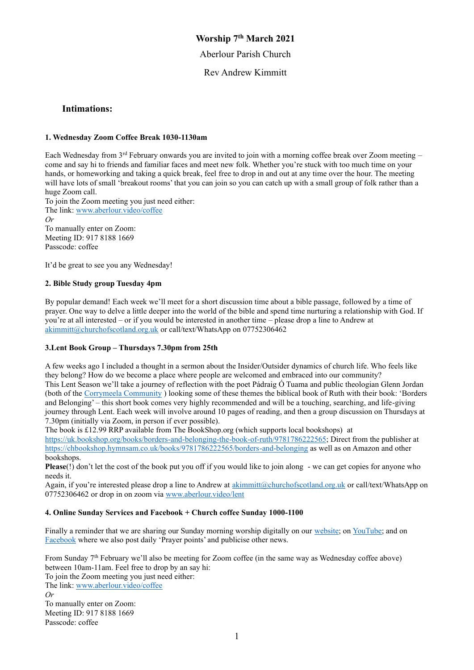## **Worship 7 th March 2021**

Aberlour Parish Church

Rev Andrew Kimmitt

## **Intimations:**

### **1. Wednesday Zoom Coffee Break 1030-1130am**

Each Wednesday from 3rd February onwards you are invited to join with a morning coffee break over Zoom meeting – come and say hi to friends and familiar faces and meet new folk. Whether you're stuck with too much time on your hands, or homeworking and taking a quick break, feel free to drop in and out at any time over the hour. The meeting will have lots of small 'breakout rooms' that you can join so you can catch up with a small group of folk rather than a huge Zoom call.

To join the Zoom meeting you just need either: The link: [www.aberlour.video/coffee](http://www.aberlour.video/coffee) *Or*  To manually enter on Zoom: Meeting ID: 917 8188 1669

It'd be great to see you any Wednesday!

### **2. Bible Study group Tuesday 4pm**

Passcode: coffee

By popular demand! Each week we'll meet for a short discussion time about a bible passage, followed by a time of prayer. One way to delve a little deeper into the world of the bible and spend time nurturing a relationship with God. If you're at all interested – or if you would be interested in another time – please drop a line to Andrew at [akimmitt@churchofscotland.org.uk](mailto:akimmitt@churchofscotland.org.uk) or call/text/WhatsApp on 07752306462

### **3.Lent Book Group – Thursdays 7.30pm from 25th**

A few weeks ago I included a thought in a sermon about the Insider/Outsider dynamics of church life. Who feels like they belong? How do we become a place where people are welcomed and embraced into our community? This Lent Season we'll take a journey of reflection with the poet Pádraig Ó Tuama and public theologian Glenn Jordan (both of the [Corrymeela Community](https://www.corrymeela.org/) ) looking some of these themes the biblical book of Ruth with their book: 'Borders and Belonging' – this short book comes very highly recommended and will be a touching, searching, and life-giving journey through Lent. Each week will involve around 10 pages of reading, and then a group discussion on Thursdays at 7.30pm (initially via Zoom, in person if ever possible).

The book is £12.99 RRP available from The BookShop.org (which supports local bookshops) at [https://uk.bookshop.org/books/borders-and-belonging-the-book-of-ruth/9781786222565;](https://uk.bookshop.org/books/borders-and-belonging-the-book-of-ruth/9781786222565) Direct from the publisher at <https://chbookshop.hymnsam.co.uk/books/9781786222565/borders-and-belonging> as well as on Amazon and other bookshops.

**Please**(!) don't let the cost of the book put you off if you would like to join along - we can get copies for anyone who needs it.

Again, if you're interested please drop a line to Andrew at [akimmitt@churchofscotland.org.uk](mailto:akimmitt@churchofscotland.org.uk) or call/text/WhatsApp on 07752306462 or drop in on zoom via [www.aberlour.video/lent](file:///C:/Users/akimm/Dropbox/Desktop/Kirk/Aberlour/Worship/20210228/www.aberlour.video/lent)

### **4. Online Sunday Services and Facebook + Church coffee Sunday 1000-1100**

Finally a reminder that we are sharing our Sunday morning worship digitally on our [website;](https://aberlourparishchurch.org.uk/) on [YouTube;](https://www.youtube.com/channel/UC2SDxEYfzpEr06VgkCQmM_w) and on [Facebook](https://www.facebook.com/AberlourParishChurch) where we also post daily 'Prayer points' and publicise other news.

From Sunday 7th February we'll also be meeting for Zoom coffee (in the same way as Wednesday coffee above) between 10am-11am. Feel free to drop by an say hi: To join the Zoom meeting you just need either: The link[: www.aberlour.video/coffee](http://www.aberlour.video/coffee) *Or*  To manually enter on Zoom: Meeting ID: 917 8188 1669

Passcode: coffee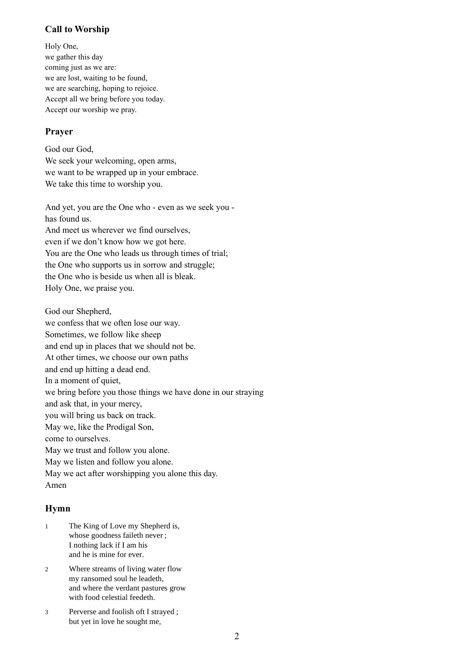# **Call to Worship**

Holy One, we gather this day coming just as we are: we are lost, waiting to be found, we are searching, hoping to rejoice. Accept all we bring before you today. Accept our worship we pray.

# **Prayer**

God our God, We seek your welcoming, open arms, we want to be wrapped up in your embrace. We take this time to worship you.

And yet, you are the One who - even as we seek you has found us. And meet us wherever we find ourselves, even if we don't know how we got here. You are the One who leads us through times of trial; the One who supports us in sorrow and struggle; the One who is beside us when all is bleak. Holy One, we praise you.

God our Shepherd,

we confess that we often lose our way.

Sometimes, we follow like sheep and end up in places that we should not be.

At other times, we choose our own paths

and end up hitting a dead end.

In a moment of quiet,

we bring before you those things we have done in our straying

and ask that, in your mercy,

you will bring us back on track.

May we, like the Prodigal Son,

come to ourselves.

May we trust and follow you alone.

May we listen and follow you alone.

May we act after worshipping you alone this day.

Amen

# **Hymn**

- 1 The King of Love my Shepherd is, whose goodness faileth never ; I nothing lack if I am his and he is mine for ever.
- 2 Where streams of living water flow my ransomed soul he leadeth, and where the verdant pastures grow with food celestial feedeth.
- 3 Perverse and foolish oft I strayed ; but yet in love he sought me,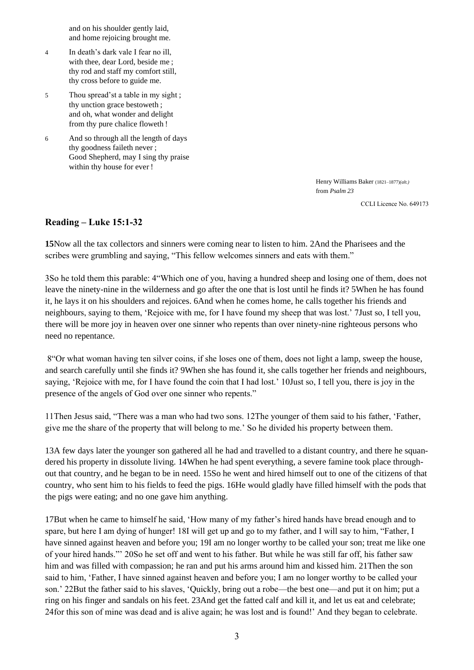and on his shoulder gently laid, and home rejoicing brought me.

- 4 In death's dark vale I fear no ill, with thee, dear Lord, beside me ; thy rod and staff my comfort still, thy cross before to guide me.
- 5 Thou spread'st a table in my sight ; thy unction grace bestoweth ; and oh, what wonder and delight from thy pure chalice floweth !
- 6 And so through all the length of days thy goodness faileth never ; Good Shepherd, may I sing thy praise within thy house for ever !

Henry Williams Baker (1821–1877)*(alt.)* from *Psalm 23*

CCLI Licence No. 649173

### **Reading – Luke 15:1-32**

**15**Now all the tax collectors and sinners were coming near to listen to him. 2And the Pharisees and the scribes were grumbling and saying, "This fellow welcomes sinners and eats with them."

3So he told them this parable: 4"Which one of you, having a hundred sheep and losing one of them, does not leave the ninety-nine in the wilderness and go after the one that is lost until he finds it? 5When he has found it, he lays it on his shoulders and rejoices. 6And when he comes home, he calls together his friends and neighbours, saying to them, 'Rejoice with me, for I have found my sheep that was lost.' 7Just so, I tell you, there will be more joy in heaven over one sinner who repents than over ninety-nine righteous persons who need no repentance.

8"Or what woman having ten silver coins, if she loses one of them, does not light a lamp, sweep the house, and search carefully until she finds it? 9When she has found it, she calls together her friends and neighbours, saying, 'Rejoice with me, for I have found the coin that I had lost.' 10Just so, I tell you, there is joy in the presence of the angels of God over one sinner who repents."

11Then Jesus said, "There was a man who had two sons. 12The younger of them said to his father, 'Father, give me the share of the property that will belong to me.' So he divided his property between them.

13A few days later the younger son gathered all he had and travelled to a distant country, and there he squandered his property in dissolute living. 14When he had spent everything, a severe famine took place throughout that country, and he began to be in need. 15So he went and hired himself out to one of the citizens of that country, who sent him to his fields to feed the pigs. 16He would gladly have filled himself with the pods that the pigs were eating; and no one gave him anything.

17But when he came to himself he said, 'How many of my father's hired hands have bread enough and to spare, but here I am dying of hunger! 18I will get up and go to my father, and I will say to him, "Father, I have sinned against heaven and before you; 19I am no longer worthy to be called your son; treat me like one of your hired hands."' 20So he set off and went to his father. But while he was still far off, his father saw him and was filled with compassion; he ran and put his arms around him and kissed him. 21Then the son said to him, 'Father, I have sinned against heaven and before you; I am no longer worthy to be called your son.' 22But the father said to his slaves, 'Quickly, bring out a robe—the best one—and put it on him; put a ring on his finger and sandals on his feet. 23And get the fatted calf and kill it, and let us eat and celebrate; 24for this son of mine was dead and is alive again; he was lost and is found!' And they began to celebrate.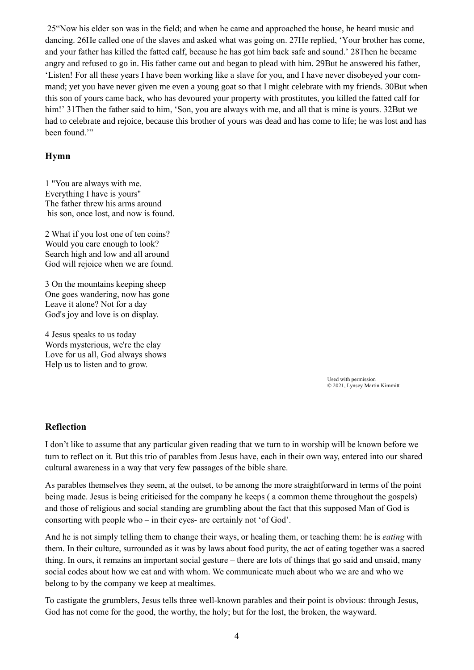25"Now his elder son was in the field; and when he came and approached the house, he heard music and dancing. 26He called one of the slaves and asked what was going on. 27He replied, 'Your brother has come, and your father has killed the fatted calf, because he has got him back safe and sound.' 28Then he became angry and refused to go in. His father came out and began to plead with him. 29But he answered his father, 'Listen! For all these years I have been working like a slave for you, and I have never disobeyed your command; yet you have never given me even a young goat so that I might celebrate with my friends. 30But when this son of yours came back, who has devoured your property with prostitutes, you killed the fatted calf for him!' 31Then the father said to him, 'Son, you are always with me, and all that is mine is yours. 32But we had to celebrate and rejoice, because this brother of yours was dead and has come to life; he was lost and has been found."

## **Hymn**

1 "You are always with me. Everything I have is yours" The father threw his arms around his son, once lost, and now is found.

2 What if you lost one of ten coins? Would you care enough to look? Search high and low and all around God will rejoice when we are found.

3 On the mountains keeping sheep One goes wandering, now has gone Leave it alone? Not for a day God's joy and love is on display.

4 Jesus speaks to us today Words mysterious, we're the clay Love for us all, God always shows Help us to listen and to grow.

> Used with permission © 2021, Lynsey Martin Kimmitt

## **Reflection**

I don't like to assume that any particular given reading that we turn to in worship will be known before we turn to reflect on it. But this trio of parables from Jesus have, each in their own way, entered into our shared cultural awareness in a way that very few passages of the bible share.

As parables themselves they seem, at the outset, to be among the more straightforward in terms of the point being made. Jesus is being criticised for the company he keeps ( a common theme throughout the gospels) and those of religious and social standing are grumbling about the fact that this supposed Man of God is consorting with people who – in their eyes- are certainly not 'of God'.

And he is not simply telling them to change their ways, or healing them, or teaching them: he is *eating* with them. In their culture, surrounded as it was by laws about food purity, the act of eating together was a sacred thing. In ours, it remains an important social gesture – there are lots of things that go said and unsaid, many social codes about how we eat and with whom. We communicate much about who we are and who we belong to by the company we keep at mealtimes.

To castigate the grumblers, Jesus tells three well-known parables and their point is obvious: through Jesus, God has not come for the good, the worthy, the holy; but for the lost, the broken, the wayward.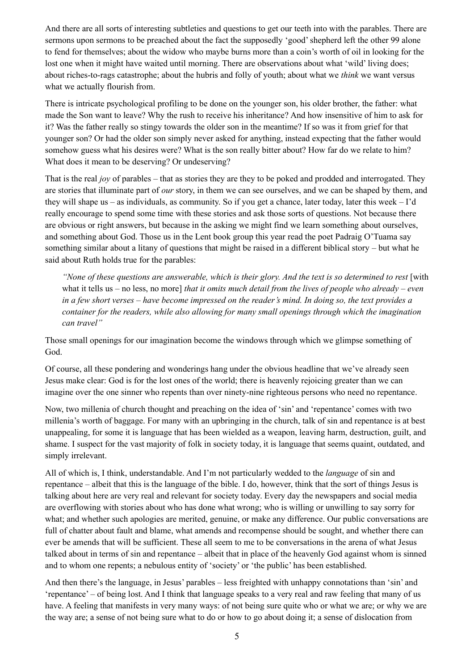And there are all sorts of interesting subtleties and questions to get our teeth into with the parables. There are sermons upon sermons to be preached about the fact the supposedly 'good'shepherd left the other 99 alone to fend for themselves; about the widow who maybe burns more than a coin's worth of oil in looking for the lost one when it might have waited until morning. There are observations about what 'wild' living does; about riches-to-rags catastrophe; about the hubris and folly of youth; about what we *think* we want versus what we actually flourish from.

There is intricate psychological profiling to be done on the younger son, his older brother, the father: what made the Son want to leave? Why the rush to receive his inheritance? And how insensitive of him to ask for it? Was the father really so stingy towards the older son in the meantime? If so was it from grief for that younger son? Or had the older son simply never asked for anything, instead expecting that the father would somehow guess what his desires were? What is the son really bitter about? How far do we relate to him? What does it mean to be deserving? Or undeserving?

That is the real *joy* of parables – that as stories they are they to be poked and prodded and interrogated. They are stories that illuminate part of *our* story, in them we can see ourselves, and we can be shaped by them, and they will shape us – as individuals, as community. So if you get a chance, later today, later this week – I'd really encourage to spend some time with these stories and ask those sorts of questions. Not because there are obvious or right answers, but because in the asking we might find we learn something about ourselves, and something about God. Those us in the Lent book group this year read the poet Padraig O'Tuama say something similar about a litany of questions that might be raised in a different biblical story – but what he said about Ruth holds true for the parables:

*"None of these questions are answerable, which is their glory. And the text is so determined to rest* [with what it tells us – no less, no more] *that it omits much detail from the lives of people who already – even in a few short verses – have become impressed on the reader's mind. In doing so, the text provides a container for the readers, while also allowing for many small openings through which the imagination can travel"*

Those small openings for our imagination become the windows through which we glimpse something of God.

Of course, all these pondering and wonderings hang under the obvious headline that we've already seen Jesus make clear: God is for the lost ones of the world; there is heavenly rejoicing greater than we can imagine over the one sinner who repents than over ninety-nine righteous persons who need no repentance.

Now, two millenia of church thought and preaching on the idea of 'sin' and 'repentance' comes with two millenia's worth of baggage. For many with an upbringing in the church, talk of sin and repentance is at best unappealing, for some it is language that has been wielded as a weapon, leaving harm, destruction, guilt, and shame. I suspect for the vast majority of folk in society today, it is language that seems quaint, outdated, and simply irrelevant.

All of which is, I think, understandable. And I'm not particularly wedded to the *language* of sin and repentance – albeit that this is the language of the bible. I do, however, think that the sort of things Jesus is talking about here are very real and relevant for society today. Every day the newspapers and social media are overflowing with stories about who has done what wrong; who is willing or unwilling to say sorry for what; and whether such apologies are merited, genuine, or make any difference. Our public conversations are full of chatter about fault and blame, what amends and recompense should be sought, and whether there can ever be amends that will be sufficient. These all seem to me to be conversations in the arena of what Jesus talked about in terms of sin and repentance – albeit that in place of the heavenly God against whom is sinned and to whom one repents; a nebulous entity of 'society' or 'the public' has been established.

And then there's the language, in Jesus' parables – less freighted with unhappy connotations than 'sin' and 'repentance' – of being lost. And I think that language speaks to a very real and raw feeling that many of us have. A feeling that manifests in very many ways: of not being sure quite who or what we are; or why we are the way are; a sense of not being sure what to do or how to go about doing it; a sense of dislocation from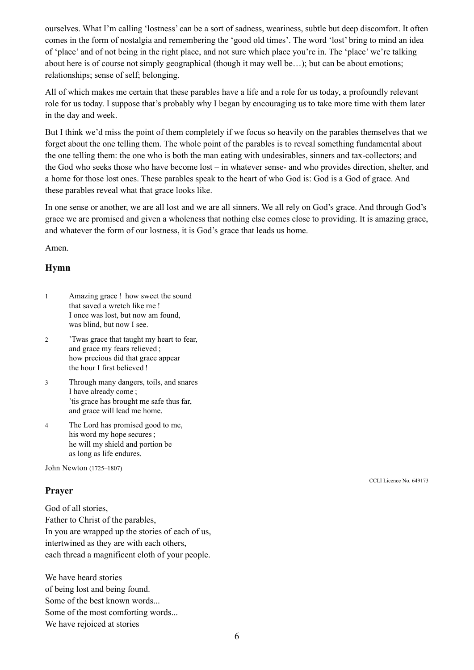ourselves. What I'm calling 'lostness' can be a sort of sadness, weariness, subtle but deep discomfort. It often comes in the form of nostalgia and remembering the 'good old times'. The word 'lost' bring to mind an idea of 'place' and of not being in the right place, and not sure which place you're in. The 'place' we're talking about here is of course not simply geographical (though it may well be…); but can be about emotions; relationships; sense of self; belonging.

All of which makes me certain that these parables have a life and a role for us today, a profoundly relevant role for us today. I suppose that's probably why I began by encouraging us to take more time with them later in the day and week.

But I think we'd miss the point of them completely if we focus so heavily on the parables themselves that we forget about the one telling them. The whole point of the parables is to reveal something fundamental about the one telling them: the one who is both the man eating with undesirables, sinners and tax-collectors; and the God who seeks those who have become lost – in whatever sense- and who provides direction, shelter, and a home for those lost ones. These parables speak to the heart of who God is: God is a God of grace. And these parables reveal what that grace looks like.

In one sense or another, we are all lost and we are all sinners. We all rely on God's grace. And through God's grace we are promised and given a wholeness that nothing else comes close to providing. It is amazing grace, and whatever the form of our lostness, it is God's grace that leads us home.

Amen.

# **Hymn**

- 1 Amazing grace ! how sweet the sound that saved a wretch like me ! I once was lost, but now am found, was blind, but now I see.
- 2 'Twas grace that taught my heart to fear, and grace my fears relieved ; how precious did that grace appear the hour I first believed !
- 3 Through many dangers, toils, and snares I have already come ; 'tis grace has brought me safe thus far, and grace will lead me home.
- 4 The Lord has promised good to me, his word my hope secures ; he will my shield and portion be as long as life endures.

John Newton (1725–1807)

# **Prayer**

God of all stories, Father to Christ of the parables, In you are wrapped up the stories of each of us, intertwined as they are with each others, each thread a magnificent cloth of your people.

We have heard stories of being lost and being found. Some of the best known words... Some of the most comforting words... We have rejoiced at stories

CCLI Licence No. 649173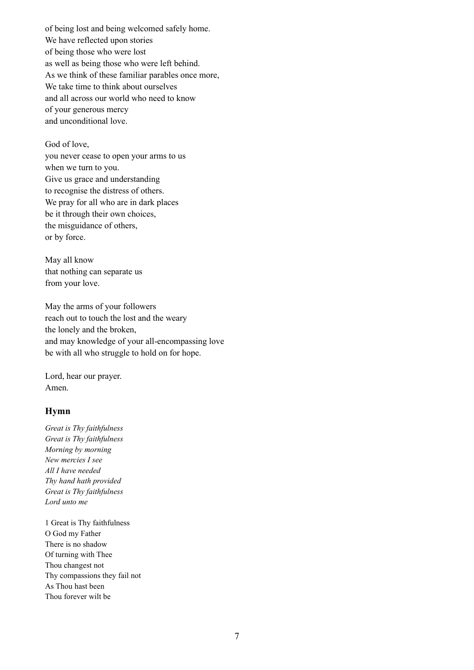of being lost and being welcomed safely home. We have reflected upon stories of being those who were lost as well as being those who were left behind. As we think of these familiar parables once more, We take time to think about ourselves and all across our world who need to know of your generous mercy and unconditional love.

#### God of love,

you never cease to open your arms to us when we turn to you. Give us grace and understanding to recognise the distress of others. We pray for all who are in dark places be it through their own choices, the misguidance of others, or by force.

May all know that nothing can separate us from your love.

May the arms of your followers reach out to touch the lost and the weary the lonely and the broken, and may knowledge of your all-encompassing love be with all who struggle to hold on for hope.

Lord, hear our prayer. Amen.

### **Hymn**

*Great is Thy faithfulness Great is Thy faithfulness Morning by morning New mercies I see All I have needed Thy hand hath provided Great is Thy faithfulness Lord unto me*

1 Great is Thy faithfulness O God my Father There is no shadow Of turning with Thee Thou changest not Thy compassions they fail not As Thou hast been Thou forever wilt be